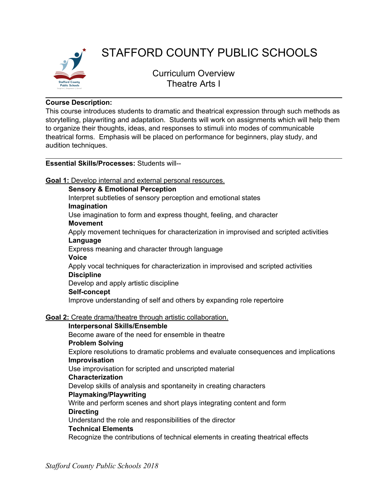

# STAFFORD COUNTY PUBLIC SCHOOLS

Curriculum Overview Theatre Arts I

# **Course Description:**

This course introduces students to dramatic and theatrical expression through such methods as storytelling, playwriting and adaptation. Students will work on assignments which will help them to organize their thoughts, ideas, and responses to stimuli into modes of communicable theatrical forms. Emphasis will be placed on performance for beginners, play study, and audition techniques.

# **Essential Skills/Processes:** Students will--

**Goal 1:** Develop internal and external personal resources.

**Sensory & Emotional Perception**

Interpret subtleties of sensory perception and emotional states

# **Imagination**

Use imagination to form and express thought, feeling, and character

**Movement**

Apply movement techniques for characterization in improvised and scripted activities **Language**

Express meaning and character through language

**Voice**

Apply vocal techniques for characterization in improvised and scripted activities **Discipline**

Develop and apply artistic discipline

# **Self-concept**

Improve understanding of self and others by expanding role repertoire

# **Goal 2:** Create drama/theatre through artistic collaboration.

# **Interpersonal Skills/Ensemble**

Become aware of the need for ensemble in theatre

# **Problem Solving**

Explore resolutions to dramatic problems and evaluate consequences and implications **Improvisation**

Use improvisation for scripted and unscripted material

# **Characterization**

Develop skills of analysis and spontaneity in creating characters

# **Playmaking/Playwriting**

Write and perform scenes and short plays integrating content and form

# **Directing**

Understand the role and responsibilities of the director

# **Technical Elements**

Recognize the contributions of technical elements in creating theatrical effects